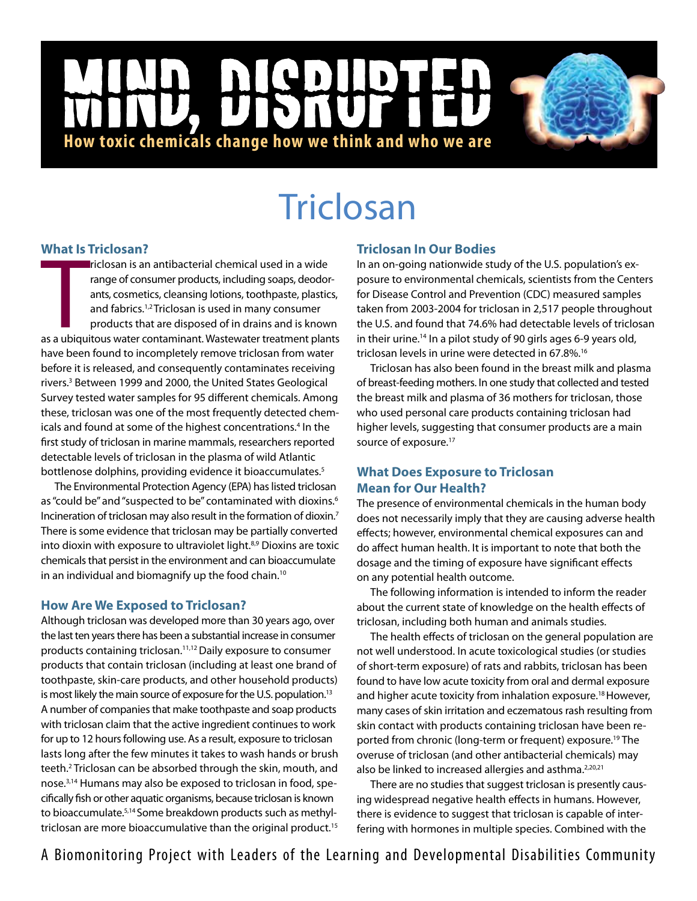## NCD |<br>|<br>| **How toxic chemicals change how we think and who we are**

# **Triclosan**

### **What Is Triclosan?**

**EXECTS ATE ASSEMANCE SETTLE OBSATE:**<br> **Experiment and antipacterial chemical used in a wide**<br>
range of consumer products, including soaps, deodor-<br>
ants, cosmetics, cleansing lotions, toothpaste, plastics,<br>
and fabrics.<sup>1</sup> riclosan is an antibacterial chemical used in a wide range of consumer products, including soaps, deodorants, cosmetics, cleansing lotions, toothpaste, plastics, and fabrics.<sup>1,2</sup> Triclosan is used in many consumer products that are disposed of in drains and is known have been found to incompletely remove triclosan from water before it is released, and consequently contaminates receiving rivers.<sup>3</sup> Between 1999 and 2000, the United States Geological Survey tested water samples for 95 different chemicals. Among these, triclosan was one of the most frequently detected chemicals and found at some of the highest concentrations.<sup>4</sup> In the first study of triclosan in marine mammals, researchers reported detectable levels of triclosan in the plasma of wild Atlantic bottlenose dolphins, providing evidence it bioaccumulates.<sup>5</sup>

The Environmental Protection Agency (EPA) has listed triclosan as "could be" and "suspected to be" contaminated with dioxins.<sup>6</sup> Incineration of triclosan may also result in the formation of dioxin.7 There is some evidence that triclosan may be partially converted into dioxin with exposure to ultraviolet light.<sup>8,9</sup> Dioxins are toxic chemicals that persist in the environment and can bioaccumulate in an individual and biomagnify up the food chain.<sup>10</sup>

## **How Are We Exposed to Triclosan?**

Although triclosan was developed more than 30 years ago, over the last ten years there has been a substantial increase in consumer products containing triclosan.<sup>11,12</sup> Daily exposure to consumer products that contain triclosan (including at least one brand of toothpaste, skin-care products, and other household products) is most likely the main source of exposure for the U.S. population.<sup>13</sup> A number of companies that make toothpaste and soap products with triclosan claim that the active ingredient continues to work for up to 12 hours following use. As a result, exposure to triclosan lasts long after the few minutes it takes to wash hands or brush teeth.<sup>2</sup> Triclosan can be absorbed through the skin, mouth, and nose.3,14 Humans may also be exposed to triclosan in food, specifically fish or other aquatic organisms, because triclosan is known to bioaccumulate.<sup>5,14</sup> Some breakdown products such as methyltriclosan are more bioaccumulative than the original product.<sup>15</sup>

## **Triclosan In Our Bodies**

In an on-going nationwide study of the U.S. population's exposure to environmental chemicals, scientists from the Centers for Disease Control and Prevention (CDC) measured samples taken from 2003-2004 for triclosan in 2,517 people throughout the U.S. and found that 74.6% had detectable levels of triclosan in their urine.14 In a pilot study of 90 girls ages 6-9 years old, triclosan levels in urine were detected in 67.8%.<sup>16</sup>

Triclosan has also been found in the breast milk and plasma of breast-feeding mothers. In one study that collected and tested the breast milk and plasma of 36 mothers for triclosan, those who used personal care products containing triclosan had higher levels, suggesting that consumer products are a main source of exposure.<sup>17</sup>

## **What Does Exposure to Triclosan Mean for Our Health?**

The presence of environmental chemicals in the human body does not necessarily imply that they are causing adverse health effects; however, environmental chemical exposures can and do affect human health. It is important to note that both the dosage and the timing of exposure have significant effects on any potential health outcome.

The following information is intended to inform the reader about the current state of knowledge on the health effects of triclosan, including both human and animals studies.

The health effects of triclosan on the general population are not well understood. In acute toxicological studies (or studies of short-term exposure) of rats and rabbits, triclosan has been found to have low acute toxicity from oral and dermal exposure and higher acute toxicity from inhalation exposure.18 However, many cases of skin irritation and eczematous rash resulting from skin contact with products containing triclosan have been reported from chronic (long-term or frequent) exposure.<sup>19</sup> The overuse of triclosan (and other antibacterial chemicals) may also be linked to increased allergies and asthma.<sup>2,20,21</sup>

There are no studies that suggest triclosan is presently causing widespread negative health effects in humans. However, there is evidence to suggest that triclosan is capable of interfering with hormones in multiple species. Combined with the

A Biomonitoring Project with Leaders of the Learning and Developmental Disabilities Community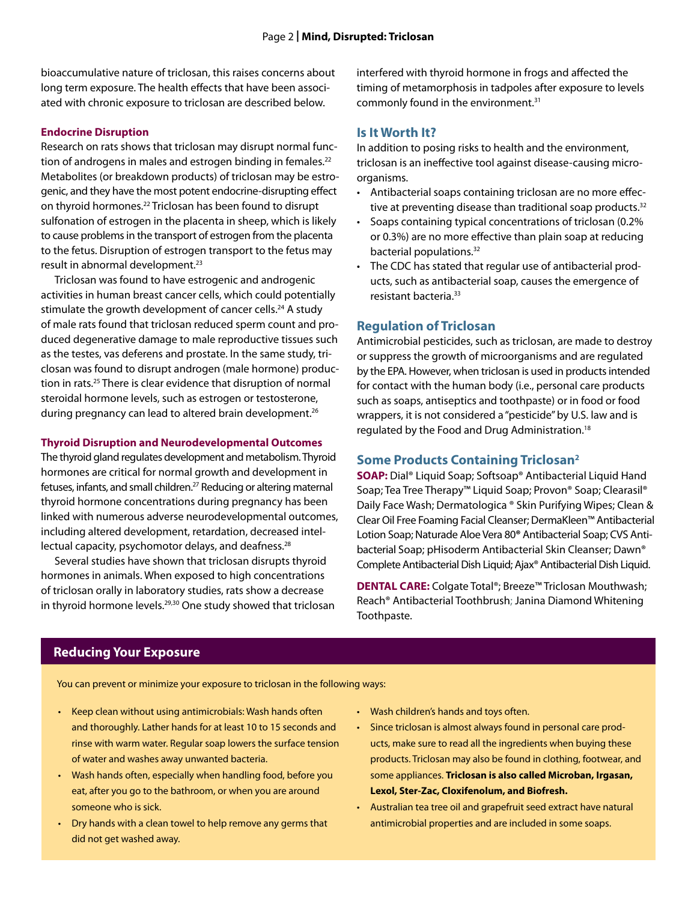bioaccumulative nature of triclosan, this raises concerns about long term exposure. The health effects that have been associated with chronic exposure to triclosan are described below.

#### **Endocrine Disruption**

Research on rats shows that triclosan may disrupt normal function of androgens in males and estrogen binding in females.<sup>22</sup> Metabolites (or breakdown products) of triclosan may be estrogenic, and they have the most potent endocrine-disrupting effect on thyroid hormones.22 Triclosan has been found to disrupt sulfonation of estrogen in the placenta in sheep, which is likely to cause problems in the transport of estrogen from the placenta to the fetus. Disruption of estrogen transport to the fetus may result in abnormal development.23

Triclosan was found to have estrogenic and androgenic activities in human breast cancer cells, which could potentially stimulate the growth development of cancer cells.<sup>24</sup> A study of male rats found that triclosan reduced sperm count and produced degenerative damage to male reproductive tissues such as the testes, vas deferens and prostate. In the same study, triclosan was found to disrupt androgen (male hormone) production in rats.25 There is clear evidence that disruption of normal steroidal hormone levels, such as estrogen or testosterone, during pregnancy can lead to altered brain development.<sup>26</sup>

#### **Thyroid Disruption and Neurodevelopmental Outcomes**

The thyroid gland regulates development and metabolism. Thyroid hormones are critical for normal growth and development in fetuses, infants, and small children.<sup>27</sup> Reducing or altering maternal thyroid hormone concentrations during pregnancy has been linked with numerous adverse neurodevelopmental outcomes, including altered development, retardation, decreased intellectual capacity, psychomotor delays, and deafness.<sup>28</sup>

Several studies have shown that triclosan disrupts thyroid hormones in animals. When exposed to high concentrations of triclosan orally in laboratory studies, rats show a decrease in thyroid hormone levels.<sup>29,30</sup> One study showed that triclosan interfered with thyroid hormone in frogs and affected the timing of metamorphosis in tadpoles after exposure to levels commonly found in the environment.31

#### **Is It Worth It?**

In addition to posing risks to health and the environment, triclosan is an ineffective tool against disease-causing microorganisms.

- Antibacterial soaps containing triclosan are no more effective at preventing disease than traditional soap products. $32$
- Soaps containing typical concentrations of triclosan (0.2% or 0.3%) are no more effective than plain soap at reducing bacterial populations.32
- The CDC has stated that regular use of antibacterial products, such as antibacterial soap, causes the emergence of resistant bacteria.33

#### **Regulation of Triclosan**

Antimicrobial pesticides, such as triclosan, are made to destroy or suppress the growth of microorganisms and are regulated by the EPA. However, when triclosan is used in products intended for contact with the human body (i.e., personal care products such as soaps, antiseptics and toothpaste) or in food or food wrappers, it is not considered a "pesticide" by U.S. law and is regulated by the Food and Drug Administration.<sup>18</sup>

#### **Some Products Containing Triclosan2**

**SOAP:** Dial® Liquid Soap; Softsoap® Antibacterial Liquid Hand Soap; Tea Tree Therapy™ Liquid Soap; Provon® Soap; Clearasil® Daily Face Wash; Dermatologica ® Skin Purifying Wipes; Clean & Clear Oil Free Foaming Facial Cleanser; DermaKleen™ Antibacterial Lotion Soap; Naturade Aloe Vera 80**®** Antibacterial Soap; CVS Antibacterial Soap; pHisoderm Antibacterial Skin Cleanser; Dawn® Complete Antibacterial Dish Liquid; Ajax® Antibacterial Dish Liquid.

**DENTAL CARE:** Colgate Total®; Breeze™ Triclosan Mouthwash; Reach® Antibacterial Toothbrush; Janina Diamond Whitening Toothpaste.

## **Reducing Your Exposure**

You can prevent or minimize your exposure to triclosan in the following ways:

- • Keep clean without using antimicrobials: Wash hands often and thoroughly. Lather hands for at least 10 to 15 seconds and rinse with warm water. Regular soap lowers the surface tension of water and washes away unwanted bacteria.
- Wash hands often, especially when handling food, before you eat, after you go to the bathroom, or when you are around someone who is sick.
- $\cdot$  Dry hands with a clean towel to help remove any germs that did not get washed away.
- • Wash children's hands and toys often.
- Since triclosan is almost always found in personal care products, make sure to read all the ingredients when buying these products. Triclosan may also be found in clothing, footwear, and some appliances. **Triclosan is also called Microban, Irgasan, Lexol, Ster-Zac, Cloxifenolum, and Biofresh.**
- Australian tea tree oil and grapefruit seed extract have natural antimicrobial properties and are included in some soaps.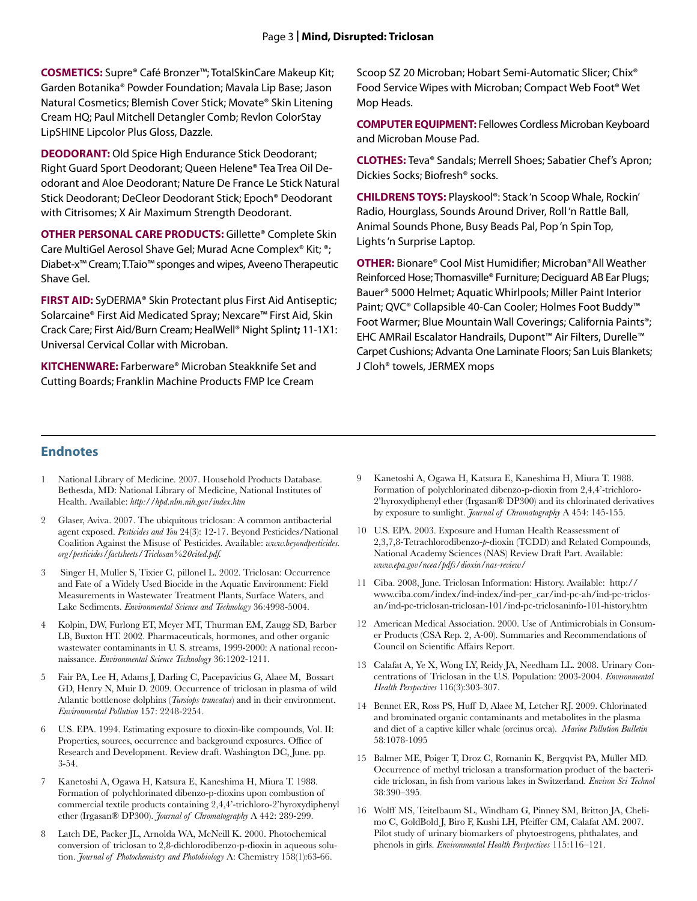**COSMETICS:** Supre® Café Bronzer™; TotalSkinCare Makeup Kit; Garden Botanika® Powder Foundation; Mavala Lip Base; Jason Natural Cosmetics; Blemish Cover Stick; Movate® Skin Litening Cream HQ; Paul Mitchell Detangler Comb; Revlon ColorStay LipSHINE Lipcolor Plus Gloss, Dazzle.

**DEODORANT:** Old Spice High Endurance Stick Deodorant; Right Guard Sport Deodorant; Queen Helene® Tea Trea Oil Deodorant and Aloe Deodorant; Nature De France Le Stick Natural Stick Deodorant; DeCleor Deodorant Stick; Epoch® Deodorant with Citrisomes; X Air Maximum Strength Deodorant.

**OTHER PERSONAL CARE PRODUCTS:** Gillette® Complete Skin Care MultiGel Aerosol Shave Gel; Murad Acne Complex® Kit; ®; Diabet-x™ Cream; T.Taio™ sponges and wipes, Aveeno Therapeutic Shave Gel.

**FIRST AID:** SyDERMA® Skin Protectant plus First Aid Antiseptic; Solarcaine® First Aid Medicated Spray; Nexcare™ First Aid, Skin Crack Care; First Aid/Burn Cream; HealWell® Night Splint**;** 11-1X1: Universal Cervical Collar with Microban.

**KITCHENWARE:** Farberware® Microban Steakknife Set and Cutting Boards; Franklin Machine Products FMP Ice Cream

Scoop SZ 20 Microban; Hobart Semi-Automatic Slicer; Chix® Food Service Wipes with Microban; Compact Web Foot® Wet Mop Heads.

**COMPUTER EQUIPMENT:** Fellowes Cordless Microban Keyboard and Microban Mouse Pad.

**CLOTHES:** Teva® Sandals; Merrell Shoes; Sabatier Chef's Apron; Dickies Socks; Biofresh® socks.

**CHILDRENS TOYS:** Playskool®: Stack 'n Scoop Whale, Rockin' Radio, Hourglass, Sounds Around Driver, Roll 'n Rattle Ball, Animal Sounds Phone, Busy Beads Pal, Pop'n Spin Top, Lights'n Surprise Laptop.

**OTHER:** Bionare® Cool Mist Humidifier; Microban®All Weather Reinforced Hose; Thomasville® Furniture; Deciguard AB Ear Plugs; Bauer® 5000 Helmet; Aquatic Whirlpools; Miller Paint Interior Paint; QVC® Collapsible 40-Can Cooler; Holmes Foot Buddy™ Foot Warmer; Blue Mountain Wall Coverings; California Paints®; EHC AMRail Escalator Handrails, Dupont™ Air Filters, Durelle™ Carpet Cushions; Advanta One Laminate Floors; San Luis Blankets; J Cloh® towels, JERMEX mops

#### **Endnotes**

- 1 National Library of Medicine. 2007. Household Products Database. Bethesda, MD: National Library of Medicine, National Institutes of Health. Available: *http://hpd.nlm.nih.gov/index.htm*
- 2 Glaser, Aviva. 2007. The ubiquitous triclosan: A common antibacterial agent exposed. *Pesticides and You* 24(3): 12-17. Beyond Pesticides/National Coalition Against the Misuse of Pesticides. Available: *www.beyondpesticides. org/pesticides/factsheets/Triclosan%20cited.pdf.*
- 3 Singer H, Muller S, Tixier C, pillonel L. 2002. Triclosan: Occurrence and Fate of a Widely Used Biocide in the Aquatic Environment: Field Measurements in Wastewater Treatment Plants, Surface Waters, and Lake Sediments. *Environmental Science and Technology* 36:4998-5004.
- 4 Kolpin, DW, Furlong ET, Meyer MT, Thurman EM, Zaugg SD, Barber LB, Buxton HT. 2002. Pharmaceuticals, hormones, and other organic wastewater contaminants in U. S. streams, 1999-2000: A national reconnaissance. *Environmental Science Technology* 36:1202-1211.
- 5 Fair PA, Lee H, Adams J, Darling C, Pacepavicius G, Alaee M, Bossart GD, Henry N, Muir D. 2009. Occurrence of triclosan in plasma of wild Atlantic bottlenose dolphins (*Tursiops truncatus*) and in their environment. *Environmental Pollution* 157: 2248-2254.
- 6 U.S. EPA. 1994. Estimating exposure to dioxin-like compounds, Vol. II: Properties, sources, occurrence and background exposures. Office of Research and Development. Review draft. Washington DC, June. pp. 3-54.
- 7 Kanetoshi A, Ogawa H, Katsura E, Kaneshima H, Miura T. 1988. Formation of polychlorinated dibenzo-p-dioxins upon combustion of commercial textile products containing 2,4,4'-trichloro-2'hyroxydiphenyl ether (Irgasan® DP300). *Journal of Chromatography* A 442: 289-299.
- 8 Latch DE, Packer JL, Arnolda WA, McNeill K. 2000. Photochemical conversion of triclosan to 2,8-dichlorodibenzo-p-dioxin in aqueous solution. *Journal of Photochemistry and Photobiology* A: Chemistry 158(1):63-66.
- 9 Kanetoshi A, Ogawa H, Katsura E, Kaneshima H, Miura T. 1988. Formation of polychlorinated dibenzo-p-dioxin from 2,4,4'-trichloro-2'hyroxydiphenyl ether (Irgasan® DP300) and its chlorinated derivatives by exposure to sunlight. *Journal of Chromatography* A 454: 145-155.
- 10 U.S. EPA. 2003. Exposure and Human Health Reassessment of 2,3,7,8-Tetrachlorodibenzo-*p*-dioxin (TCDD) and Related Compounds, National Academy Sciences (NAS) Review Draft Part. Available: *www.epa.gov/ncea/pdfs/dioxin/nas-review/*
- 11 Ciba. 2008, June. Triclosan Information: History. Available: http:// www.ciba.com/index/ind-index/ind-per\_car/ind-pc-ah/ind-pc-triclosan/ind-pc-triclosan-triclosan-101/ind-pc-triclosaninfo-101-history.htm
- 12 American Medical Association. 2000. Use of Antimicrobials in Consumer Products (CSA Rep. 2, A-00). Summaries and Recommendations of Council on Scientific Affairs Report.
- 13 Calafat A, Ye X, Wong LY, Reidy JA, Needham LL. 2008. Urinary Concentrations of Triclosan in the U.S. Population: 2003-2004. *Environmental Health Perspectives* 116(3):303-307.
- 14 Bennet ER, Ross PS, Huff D, Alaee M, Letcher RJ. 2009. Chlorinated and brominated organic contaminants and metabolites in the plasma and diet of a captive killer whale (orcinus orca). *Marine Pollution Bulletin* 58:1078-1095
- 15 Balmer ME, Poiger T, Droz C, Romanin K, Bergqvist PA, Müller MD. Occurrence of methyl triclosan a transformation product of the bactericide triclosan, in fish from various lakes in Switzerland. *Environ Sci Technol* 38:390–395.
- 16 Wolff MS, Teitelbaum SL, Windham G, Pinney SM, Britton JA, Chelimo C, GoldBold J, Biro F, Kushi LH, Pfeiffer CM, Calafat AM. 2007. Pilot study of urinary biomarkers of phytoestrogens, phthalates, and phenols in girls. *Environmental Health Perspectives* 115:116–121.